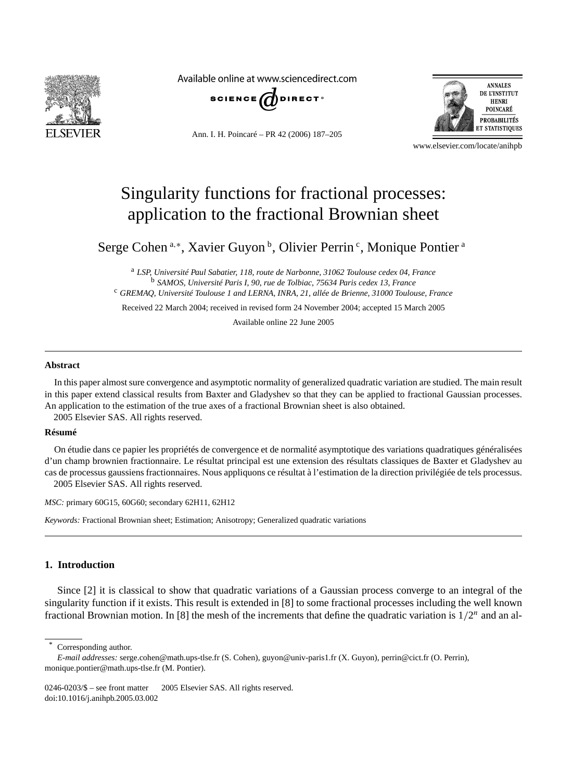

Available online at www.sciencedirect.com



Ann. I. H. Poincaré – PR 42 (2006) 187–205



www.elsevier.com/locate/anihpb

# Singularity functions for fractional processes: application to the fractional Brownian sheet

Serge Cohen<sup>a,∗</sup>, Xavier Guyon<sup>b</sup>, Olivier Perrin<sup>c</sup>, Monique Pontier<sup>a</sup>

<sup>a</sup> *LSP, Université Paul Sabatier, 118, route de Narbonne, 31062 Toulouse cedex 04, France* <sup>b</sup> *SAMOS, Université Paris I, 90, rue de Tolbiac, 75634 Paris cedex 13, France*

<sup>c</sup> *GREMAQ, Université Toulouse 1 and LERNA, INRA, 21, allée de Brienne, 31000 Toulouse, France*

Received 22 March 2004; received in revised form 24 November 2004; accepted 15 March 2005

Available online 22 June 2005

#### **Abstract**

In this paper almost sure convergence and asymptotic normality of generalized quadratic variation are studied. The main result in this paper extend classical results from Baxter and Gladyshev so that they can be applied to fractional Gaussian processes. An application to the estimation of the true axes of a fractional Brownian sheet is also obtained. 2005 Elsevier SAS. All rights reserved.

#### **Résumé**

On étudie dans ce papier les propriétés de convergence et de normalité asymptotique des variations quadratiques généralisées d'un champ brownien fractionnaire. Le résultat principal est une extension des résultats classiques de Baxter et Gladyshev au cas de processus gaussiens fractionnaires. Nous appliquons ce résultat à l'estimation de la direction privilégiée de tels processus. 2005 Elsevier SAS. All rights reserved.

*MSC:* primary 60G15, 60G60; secondary 62H11, 62H12

*Keywords:* Fractional Brownian sheet; Estimation; Anisotropy; Generalized quadratic variations

# **1. Introduction**

Since [2] it is classical to show that quadratic variations of a Gaussian process converge to an integral of the singularity function if it exists. This result is extended in [8] to some fractional processes including the well known fractional Brownian motion. In [8] the mesh of the increments that define the quadratic variation is  $1/2<sup>n</sup>$  and an al-

Corresponding author.

*E-mail addresses:* serge.cohen@math.ups-tlse.fr (S. Cohen), guyon@univ-paris1.fr (X. Guyon), perrin@cict.fr (O. Perrin), monique.pontier@math.ups-tlse.fr (M. Pontier).

 $0246-0203/$ \$ – see front matter  $\odot$  2005 Elsevier SAS. All rights reserved. doi:10.1016/j.anihpb.2005.03.002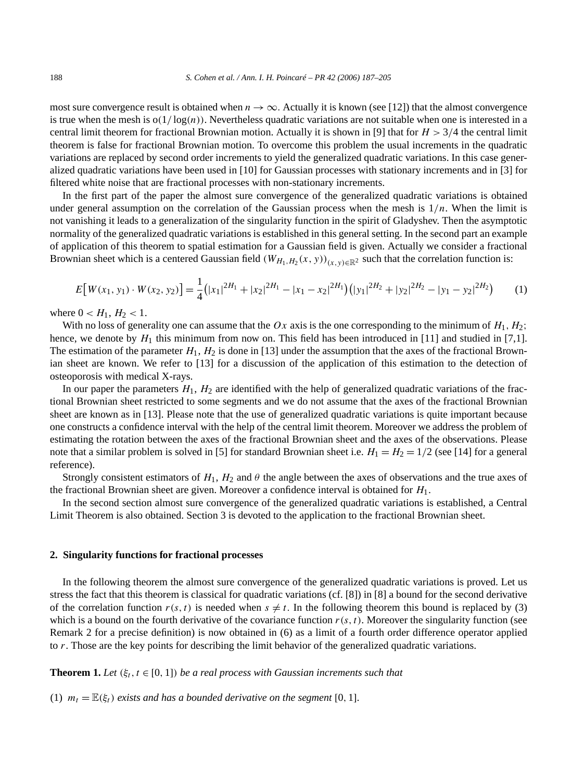most sure convergence result is obtained when  $n \to \infty$ . Actually it is known (see [12]) that the almost convergence is true when the mesh is  $o(1/\log(n))$ . Nevertheless quadratic variations are not suitable when one is interested in a central limit theorem for fractional Brownian motion. Actually it is shown in [9] that for  $H > 3/4$  the central limit theorem is false for fractional Brownian motion. To overcome this problem the usual increments in the quadratic variations are replaced by second order increments to yield the generalized quadratic variations. In this case generalized quadratic variations have been used in [10] for Gaussian processes with stationary increments and in [3] for filtered white noise that are fractional processes with non-stationary increments.

In the first part of the paper the almost sure convergence of the generalized quadratic variations is obtained under general assumption on the correlation of the Gaussian process when the mesh is  $1/n$ . When the limit is not vanishing it leads to a generalization of the singularity function in the spirit of Gladyshev. Then the asymptotic normality of the generalized quadratic variations is established in this general setting. In the second part an example of application of this theorem to spatial estimation for a Gaussian field is given. Actually we consider a fractional Brownian sheet which is a centered Gaussian field  $(W_{H_1,H_2}(x, y))_{(x, y)\in\mathbb{R}^2}$  such that the correlation function is:

$$
E[W(x_1, y_1) \cdot W(x_2, y_2)] = \frac{1}{4} (|x_1|^{2H_1} + |x_2|^{2H_1} - |x_1 - x_2|^{2H_1}) (|y_1|^{2H_2} + |y_2|^{2H_2} - |y_1 - y_2|^{2H_2}) \tag{1}
$$

where  $0 < H_1, H_2 < 1$ .

With no loss of generality one can assume that the  $Ox$  axis is the one corresponding to the minimum of  $H_1, H_2$ ; hence, we denote by  $H_1$  this minimum from now on. This field has been introduced in [11] and studied in [7,1]. The estimation of the parameter  $H_1$ ,  $H_2$  is done in [13] under the assumption that the axes of the fractional Brownian sheet are known. We refer to [13] for a discussion of the application of this estimation to the detection of osteoporosis with medical X-rays.

In our paper the parameters  $H_1$ ,  $H_2$  are identified with the help of generalized quadratic variations of the fractional Brownian sheet restricted to some segments and we do not assume that the axes of the fractional Brownian sheet are known as in [13]. Please note that the use of generalized quadratic variations is quite important because one constructs a confidence interval with the help of the central limit theorem. Moreover we address the problem of estimating the rotation between the axes of the fractional Brownian sheet and the axes of the observations. Please note that a similar problem is solved in [5] for standard Brownian sheet i.e.  $H_1 = H_2 = 1/2$  (see [14] for a general reference).

Strongly consistent estimators of  $H_1$ ,  $H_2$  and  $\theta$  the angle between the axes of observations and the true axes of the fractional Brownian sheet are given. Moreover a confidence interval is obtained for *H*1.

In the second section almost sure convergence of the generalized quadratic variations is established, a Central Limit Theorem is also obtained. Section 3 is devoted to the application to the fractional Brownian sheet.

#### **2. Singularity functions for fractional processes**

In the following theorem the almost sure convergence of the generalized quadratic variations is proved. Let us stress the fact that this theorem is classical for quadratic variations (cf. [8]) in [8] a bound for the second derivative of the correlation function  $r(s, t)$  is needed when  $s \neq t$ . In the following theorem this bound is replaced by (3) which is a bound on the fourth derivative of the covariance function  $r(s, t)$ . Moreover the singularity function (see Remark 2 for a precise definition) is now obtained in (6) as a limit of a fourth order difference operator applied to *r*. Those are the key points for describing the limit behavior of the generalized quadratic variations.

#### **Theorem 1.** Let  $(\xi_t, t \in [0, 1])$  be a real process with Gaussian increments such that

(1)  $m_t = \mathbb{E}(\xi_t)$  *exists and has a bounded derivative on the segment* [0, 1]*.*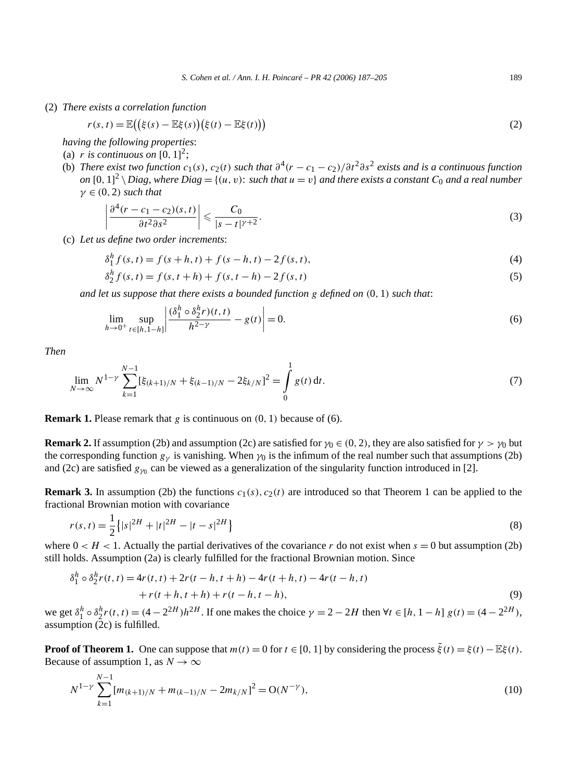(2) *There exists a correlation function*

$$
r(s,t) = \mathbb{E}\big(\big(\xi(s) - \mathbb{E}\xi(s)\big)\big(\xi(t) - \mathbb{E}\xi(t)\big)\big) \tag{2}
$$

*having the following properties*:

- (a) *r is continuous on*  $[0, 1]^2$ ;
- (b) *There exist two function*  $c_1(s)$ *,*  $c_2(t)$  *such that*  $\partial^4(r c_1 c_2)/\partial t^2 \partial s^2$  *exists and is a continuous function*  $\partial$   $[0,1]^2 \setminus$  Diag, where Diag = { $(u,v)$ : such that  $u = v$ } and there exists a constant  $C_0$  and a real number  $γ ∈ (0, 2) such that$

$$
\left| \frac{\partial^4 (r - c_1 - c_2)(s, t)}{\partial t^2 \partial s^2} \right| \leqslant \frac{C_0}{|s - t|^{\gamma + 2}}.
$$
\n(3)

(c) *Let us define two order increments*:

$$
\delta_1^h f(s, t) = f(s + h, t) + f(s - h, t) - 2f(s, t),\tag{4}
$$

$$
\delta_2^h f(s, t) = f(s, t + h) + f(s, t - h) - 2f(s, t)
$$
\n(5)

*and let us suppose that there exists a bounded function g defined on (*0*,* 1*) such that*:

$$
\lim_{h \to 0^+} \sup_{t \in [h, 1-h]} \left| \frac{(\delta_1^h \circ \delta_2^h r)(t, t)}{h^{2-\gamma}} - g(t) \right| = 0.
$$
\n(6)

*Then*

$$
\lim_{N \to \infty} N^{1-\gamma} \sum_{k=1}^{N-1} [\xi_{(k+1)/N} + \xi_{(k-1)/N} - 2\xi_{k/N}]^2 = \int_0^1 g(t) dt.
$$
\n(7)

**Remark 1.** Please remark that *g* is continuous on *(*0*,* 1*)* because of (6).

**Remark 2.** If assumption (2b) and assumption (2c) are satisfied for  $\gamma_0 \in (0, 2)$ , they are also satisfied for  $\gamma > \gamma_0$  but the corresponding function  $g<sub>\gamma</sub>$  is vanishing. When  $\gamma_0$  is the infimum of the real number such that assumptions (2b) and (2c) are satisfied  $g_{\gamma_0}$  can be viewed as a generalization of the singularity function introduced in [2].

**Remark 3.** In assumption (2b) the functions  $c_1(s)$ ,  $c_2(t)$  are introduced so that Theorem 1 can be applied to the fractional Brownian motion with covariance

$$
r(s,t) = \frac{1}{2} \left\{ |s|^{2H} + |t|^{2H} - |t-s|^{2H} \right\}
$$
\n(8)

where  $0 < H < 1$ . Actually the partial derivatives of the covariance r do not exist when  $s = 0$  but assumption (2b) still holds. Assumption (2a) is clearly fulfilled for the fractional Brownian motion. Since

$$
\delta_1^h \circ \delta_2^h r(t, t) = 4r(t, t) + 2r(t - h, t + h) - 4r(t + h, t) - 4r(t - h, t) + r(t + h, t + h) + r(t - h, t - h),
$$
\n(9)

we get  $\delta_1^h \circ \delta_2^h r(t, t) = (4 - 2^{2H})h^{2H}$ . If one makes the choice  $\gamma = 2 - 2H$  then  $\forall t \in [h, 1 - h]$   $g(t) = (4 - 2^{2H})$ , assumption (2c) is fulfilled.

**Proof of Theorem 1.** One can suppose that  $m(t) = 0$  for  $t \in [0, 1]$  by considering the process  $\tilde{\xi}(t) = \xi(t) - \mathbb{E}\xi(t)$ . Because of assumption 1, as  $N \to \infty$ 

$$
N^{1-\gamma} \sum_{k=1}^{N-1} [m_{(k+1)/N} + m_{(k-1)/N} - 2m_{k/N}]^2 = O(N^{-\gamma}),
$$
\n(10)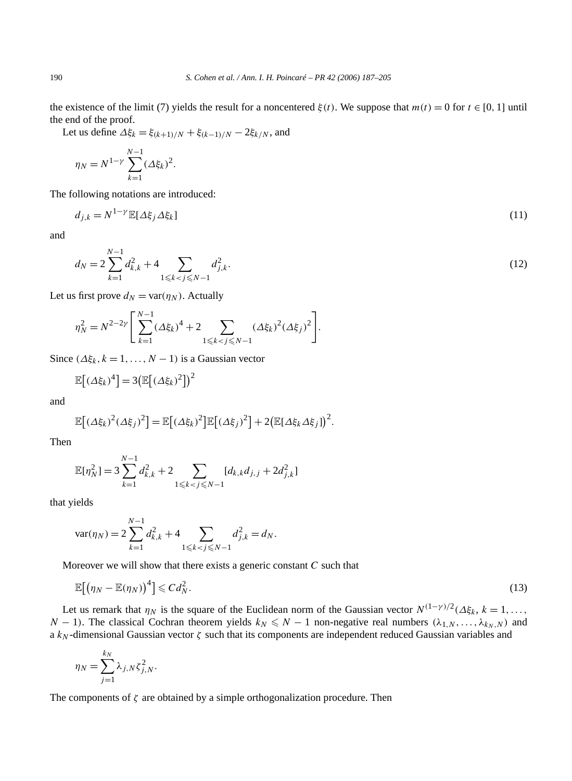the existence of the limit (7) yields the result for a noncentered  $\xi(t)$ . We suppose that  $m(t) = 0$  for  $t \in [0, 1]$  until the end of the proof.

Let us define  $\Delta \xi_k = \xi_{(k+1)/N} + \xi_{(k-1)/N} - 2\xi_{k/N}$ , and

$$
\eta_N = N^{1-\gamma} \sum_{k=1}^{N-1} (\Delta \xi_k)^2.
$$

The following notations are introduced:

$$
d_{j,k} = N^{1-\gamma} \mathbb{E}[\Delta \xi_j \Delta \xi_k]
$$
\n(11)

and

$$
d_N = 2\sum_{k=1}^{N-1} d_{k,k}^2 + 4 \sum_{1 \le k < j \le N-1} d_{j,k}^2. \tag{12}
$$

Let us first prove  $d_N = \text{var}(\eta_N)$ . Actually

$$
\eta_N^2 = N^{2-2\gamma} \Bigg[ \sum_{k=1}^{N-1} (\Delta \xi_k)^4 + 2 \sum_{1 \le k < j \le N-1} (\Delta \xi_k)^2 (\Delta \xi_j)^2 \Bigg].
$$

Since  $(\Delta \xi_k, k = 1, \ldots, N - 1)$  is a Gaussian vector

$$
\mathbb{E}\big[(\Delta\xi_k)^4\big] = 3\big(\mathbb{E}\big[(\Delta\xi_k)^2\big]\big)^2
$$

and

$$
\mathbb{E}[(\Delta \xi_k)^2(\Delta \xi_j)^2] = \mathbb{E}[(\Delta \xi_k)^2]\mathbb{E}[(\Delta \xi_j)^2] + 2(\mathbb{E}[\Delta \xi_k \Delta \xi_j])^2.
$$

Then

$$
\mathbb{E}[\eta_N^2] = 3 \sum_{k=1}^{N-1} d_{k,k}^2 + 2 \sum_{1 \le k < j \le N-1} [d_{k,k} d_{j,j} + 2 d_{j,k}^2]
$$

that yields

$$
\text{var}(\eta_N) = 2\sum_{k=1}^{N-1} d_{k,k}^2 + 4 \sum_{1 \le k < j \le N-1} d_{j,k}^2 = d_N.
$$

Moreover we will show that there exists a generic constant *C* such that

$$
\mathbb{E}\big[\big(\eta_N - \mathbb{E}(\eta_N)\big)^4\big] \leqslant C d_N^2. \tag{13}
$$

Let us remark that  $\eta_N$  is the square of the Euclidean norm of the Gaussian vector  $N^{(1-\gamma)/2}(\Delta \xi_k, k=1,\ldots,$ *N* − 1). The classical Cochran theorem yields  $k_N \leq N - 1$  non-negative real numbers  $(\lambda_{1,N}, \ldots, \lambda_{k_N,N})$  and a *kN* -dimensional Gaussian vector *ζ* such that its components are independent reduced Gaussian variables and

$$
\eta_N = \sum_{j=1}^{k_N} \lambda_{j,N} \zeta_{j,N}^2.
$$

The components of *ζ* are obtained by a simple orthogonalization procedure. Then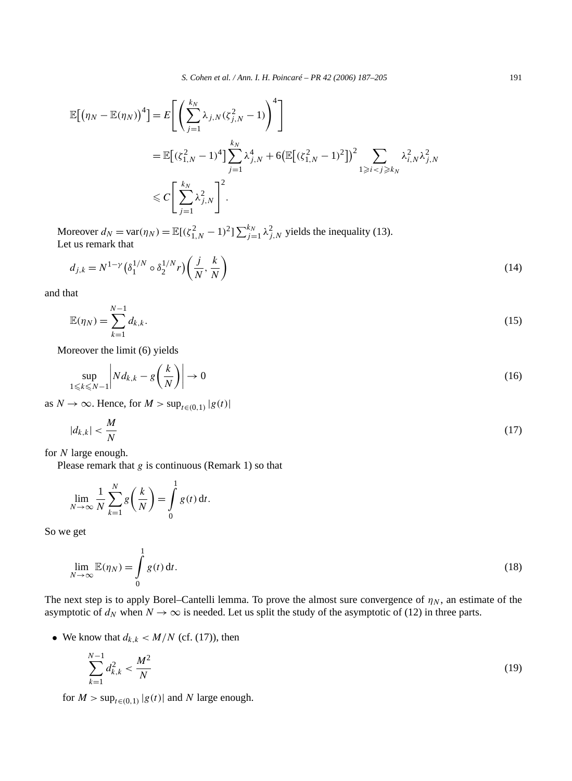$$
\mathbb{E}[(\eta_N - \mathbb{E}(\eta_N))^4] = E\left[\left(\sum_{j=1}^{k_N} \lambda_{j,N}(\zeta_{j,N}^2 - 1)\right)^4\right]
$$
  
= 
$$
\mathbb{E}[(\zeta_{1,N}^2 - 1)^4] \sum_{j=1}^{k_N} \lambda_{j,N}^4 + 6\left(\mathbb{E}[(\zeta_{1,N}^2 - 1)^2]\right)^2 \sum_{1 \ge i < j \ge k_N} \lambda_{i,N}^2 \lambda_{j,N}^2
$$
  

$$
\le C\left[\sum_{j=1}^{k_N} \lambda_{j,N}^2\right]^2.
$$

Moreover  $d_N = \text{var}(\eta_N) = \mathbb{E}[(\zeta_{1,N}^2 - 1)^2] \sum_{j=1}^{k_N} \lambda_{j,N}^2$  yields the inequality (13). Let us remark that

$$
d_{j,k} = N^{1-\gamma} \left( \delta_1^{1/N} \circ \delta_2^{1/N} r \right) \left( \frac{j}{N}, \frac{k}{N} \right) \tag{14}
$$

and that

$$
\mathbb{E}(\eta_N) = \sum_{k=1}^{N-1} d_{k,k}.\tag{15}
$$

Moreover the limit (6) yields

$$
\sup_{1 \leq k \leq N-1} \left| N d_{k,k} - g\left(\frac{k}{N}\right) \right| \to 0 \tag{16}
$$

as  $N \to \infty$ . Hence, for  $M > \sup_{t \in (0,1)} |g(t)|$ 

$$
|d_{k,k}| < \frac{M}{N} \tag{17}
$$

for *N* large enough.

Please remark that *g* is continuous (Remark 1) so that

$$
\lim_{N \to \infty} \frac{1}{N} \sum_{k=1}^{N} g\left(\frac{k}{N}\right) = \int_{0}^{1} g(t) dt.
$$

1

So we get

$$
\lim_{N \to \infty} \mathbb{E}(\eta_N) = \int_0^1 g(t) dt.
$$
\n(18)

The next step is to apply Borel–Cantelli lemma. To prove the almost sure convergence of  $\eta_N$ , an estimate of the asymptotic of  $d_N$  when  $N \to \infty$  is needed. Let us split the study of the asymptotic of (12) in three parts.

• We know that  $d_{k,k} < M/N$  (cf. (17)), then

$$
\sum_{k=1}^{N-1} d_{k,k}^2 < \frac{M^2}{N} \tag{19}
$$

for  $M > \sup_{t \in (0,1)} |g(t)|$  and  $N$  large enough.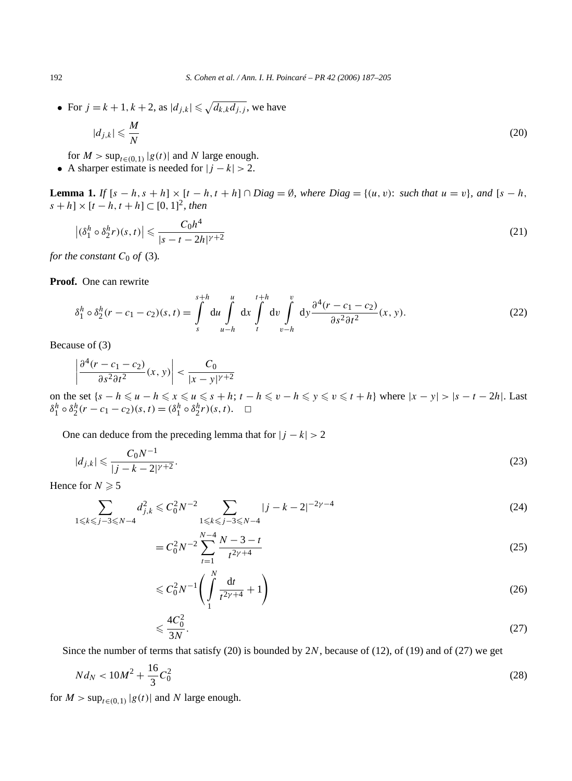• For  $j = k + 1, k + 2$ , as  $|d_{j,k}| \leq \sqrt{d_{k,k}d_{j,j}}$ , we have

$$
|d_{j,k}| \leqslant \frac{M}{N} \tag{20}
$$

for  $M > \sup_{t \in (0,1)} |g(t)|$  and  $N$  large enough.

• A sharper estimate is needed for  $|j - k| > 2$ .

**Lemma 1.** *If*  $[s - h, s + h] \times [t - h, t + h] ∩$  *Diag* = Ø*, where Diag* = { $(u, v)$ *: such that*  $u = v$ }*, and*  $[s - h, t + h]$  $[s + h] \times [t - h, t + h]$  ⊂ [0, 1]<sup>2</sup>, then

$$
\left| \left( \delta_1^h \circ \delta_2^h r \right) (s, t) \right| \leqslant \frac{C_0 h^4}{|s - t - 2h|^{\gamma + 2}} \tag{21}
$$

*for the constant*  $C_0$  *of* (3).

**Proof.** One can rewrite

$$
\delta_1^h \circ \delta_2^h (r - c_1 - c_2)(s, t) = \int_s^{s+h} du \int_t^u dx \int_t^{t+h} dv \int_{v-h}^v dy \frac{\partial^4 (r - c_1 - c_2)}{\partial s^2 \partial t^2} (x, y). \tag{22}
$$

Because of (3)

$$
\left|\frac{\partial^4(r-c_1-c_2)}{\partial s^2 \partial t^2}(x,y)\right| < \frac{C_0}{|x-y|^{\gamma+2}}
$$

on the set  $\{s-h \leq u-h \leq x \leq u \leq s+h: t-h \leq v-h \leq y \leq v \leq t+h\}$  where  $|x-y| > |s-t-2h|$ . Last  $\delta_1^h \circ \delta_2^h(r - c_1 - c_2)(s, t) = (\delta_1^h \circ \delta_2^h r)(s, t).$   $\Box$ 

One can deduce from the preceding lemma that for  $|j - k| > 2$ 

$$
|d_{j,k}| \leqslant \frac{C_0 N^{-1}}{|j - k - 2|^{\gamma + 2}}.\tag{23}
$$

Hence for  $N \geqslant 5$ 

$$
\sum_{1 \le k \le j-3 \le N-4} d_{j,k}^2 \le C_0^2 N^{-2} \sum_{1 \le k \le j-3 \le N-4} |j-k-2|^{-2\gamma-4}
$$
\n(24)

$$
= C_0^2 N^{-2} \sum_{t=1}^{N-4} \frac{N-3-t}{t^{2\gamma+4}}
$$
\n(25)

$$
\leq C_0^2 N^{-1} \left( \int\limits_1^N \frac{\mathrm{d}t}{t^{2\gamma + 4}} + 1 \right) \tag{26}
$$

$$
\leqslant \frac{4C_0^2}{3N}.\tag{27}
$$

Since the number of terms that satisfy (20) is bounded by 2*N*, because of (12), of (19) and of (27) we get

$$
Nd_N < 10M^2 + \frac{16}{3}C_0^2
$$
\n(28)

for  $M > \sup_{t \in (0,1)} |g(t)|$  and  $N$  large enough.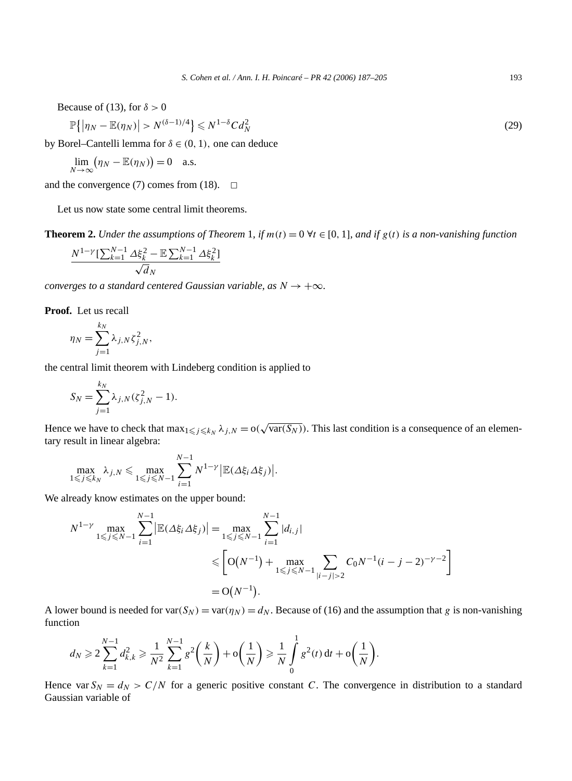Because of (13), for  $\delta > 0$ 

$$
\mathbb{P}\left\{ \left| \eta_N - \mathbb{E}(\eta_N) \right| > N^{(\delta - 1)/4} \right\} \leqslant N^{1 - \delta} C d_N^2 \tag{29}
$$

by Borel–Cantelli lemma for  $\delta \in (0, 1)$ , one can deduce

$$
\lim_{N \to \infty} (\eta_N - \mathbb{E}(\eta_N)) = 0 \quad \text{a.s.}
$$

and the convergence (7) comes from (18).  $\Box$ 

Let us now state some central limit theorems.

**Theorem 2.** *Under the assumptions of Theorem* 1*, if*  $m(t) = 0 \forall t \in [0, 1]$ *, and if*  $g(t)$  *is a non-vanishing function* 

$$
\frac{N^{1-\gamma}\left[\sum_{k=1}^{N-1}\Delta\xi_k^2 - \mathbb{E}\sum_{k=1}^{N-1}\Delta\xi_k^2\right]}{\sqrt{d_N}}
$$

*converges to a standard centered Gaussian variable, as*  $N \rightarrow +\infty$ *.* 

**Proof.** Let us recall

$$
\eta_N = \sum_{j=1}^{k_N} \lambda_{j,N} \zeta_{j,N}^2,
$$

the central limit theorem with Lindeberg condition is applied to

$$
S_N = \sum_{j=1}^{k_N} \lambda_{j,N} (\zeta_{j,N}^2 - 1).
$$

Hence we have to check that  $\max_{1 \leq j \leq k_N} \lambda_{j,N} = o(\sqrt{\text{var}(S_N)})$ . This last condition is a consequence of an elementary result in linear algebra:

$$
\max_{1 \leq j \leq k_N} \lambda_{j,N} \leq \max_{1 \leq j \leq N-1} \sum_{i=1}^{N-1} N^{1-\gamma} \big| \mathbb{E}(\Delta \xi_i \Delta \xi_j) \big|.
$$

We already know estimates on the upper bound:

$$
N^{1-\gamma} \max_{1 \leq j \leq N-1} \sum_{i=1}^{N-1} |\mathbb{E}(\Delta \xi_i \Delta \xi_j)| = \max_{1 \leq j \leq N-1} \sum_{i=1}^{N-1} |d_{i,j}|
$$
  
\$\leq \left[ O(N^{-1}) + \max\_{1 \leq j \leq N-1} \sum\_{|i-j|>2} C\_0 N^{-1} (i-j-2)^{-\gamma-2} \right]\$  
= O(N^{-1}).

A lower bound is needed for var $(S_N)$  = var $(\eta_N) = d_N$ . Because of (16) and the assumption that *g* is non-vanishing function

$$
d_N \geq 2\sum_{k=1}^{N-1} d_{k,k}^2 \geq \frac{1}{N^2} \sum_{k=1}^{N-1} g^2\left(\frac{k}{N}\right) + \mathcal{O}\left(\frac{1}{N}\right) \geq \frac{1}{N} \int_0^1 g^2(t) \, \mathrm{d}t + \mathcal{O}\left(\frac{1}{N}\right).
$$

Hence var  $S_N = d_N > C/N$  for a generic positive constant *C*. The convergence in distribution to a standard Gaussian variable of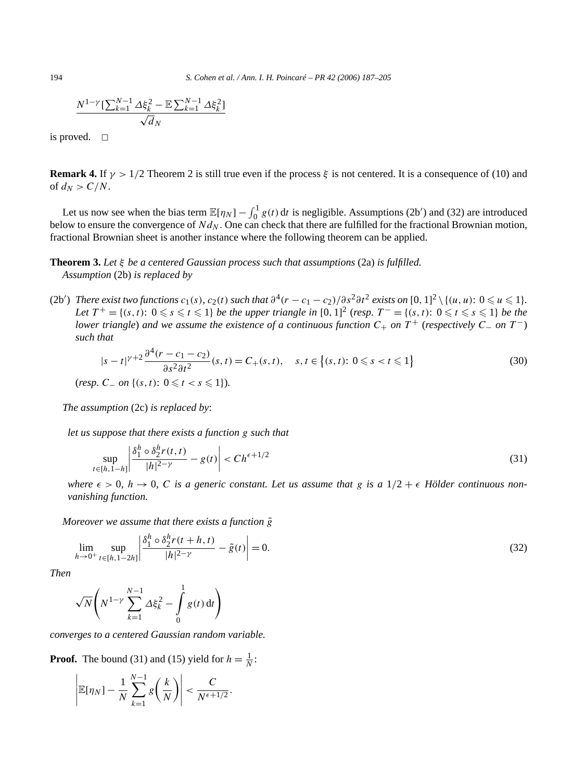$$
\frac{N^{1-\gamma}[\sum_{k=1}^{N-1} \Delta \xi_k^2 - \mathbb{E} \sum_{k=1}^{N-1} \Delta \xi_k^2]}{\sqrt{d_N}}
$$

is proved.  $\square$ 

**Remark 4.** If  $\gamma > 1/2$  Theorem 2 is still true even if the process  $\xi$  is not centered. It is a consequence of (10) and of  $d_N > C/N$ .

Let us now see when the bias term  $\mathbb{E}[\eta_N] - \int_0^1 g(t) dt$  is negligible. Assumptions (2b') and (32) are introduced below to ensure the convergence of  $Nd_N$ . One can check that there are fulfilled for the fractional Brownian motion, fractional Brownian sheet is another instance where the following theorem can be applied.

**Theorem 3.** *Let ξ be a centered Gaussian process such that assumptions* (2a) *is fulfilled. Assumption* (2b) *is replaced by*

(2b') There exist two functions  $c_1(s)$ ,  $c_2(t)$  such that  $\partial^4(r-c_1-c_2)/\partial s^2\partial t^2$  exists on  $[0,1]^2\setminus\{(u,u)\colon 0\leqslant u\leqslant 1\}.$ *Let*  $T^+ = \{(s, t): 0 \le s \le t \le 1\}$  *be the upper triangle in*  $[0, 1]^2$  (*resp.*  $T^- = \{(s, t): 0 \le t \le s \le 1\}$  *be the lower triangle*) *and we assume the existence of a continuous function C*<sup>+</sup> *on T* <sup>+</sup> (*respectively C*<sup>−</sup> *on T* <sup>−</sup>) *such that*

$$
|s - t|^{\gamma + 2} \frac{\partial^4 (r - c_1 - c_2)}{\partial s^2 \partial t^2} (s, t) = C_+(s, t), \quad s, t \in \{(s, t): 0 \le s < t \le 1\}
$$
  
(resp. C<sub>-</sub> on  $\{(s, t): 0 \le t < s \le 1\}$ ). (30)

*The assumption* (2c) *is replaced by*:

*let us suppose that there exists a function g such that*

$$
\sup_{t\in[h,1-h]} \left|\frac{\delta_1^h \circ \delta_2^h r(t,t)}{|h|^{2-\gamma}} - g(t)\right| < Ch^{\epsilon+1/2} \tag{31}
$$

*where*  $\epsilon > 0$ ,  $h \to 0$ , C is a generic constant. Let us assume that g is a  $1/2 + \epsilon$  Hölder continuous non*vanishing function.*

*Moreover we assume that there exists a function*  $\tilde{g}$ 

$$
\lim_{h \to 0^+} \sup_{t \in [h, 1 - 2h]} \left| \frac{\delta_1^h \circ \delta_2^h r(t + h, t)}{|h|^{2 - \gamma}} - \tilde{g}(t) \right| = 0.
$$
\n(32)

*Then*

$$
\sqrt{N}\left(N^{1-\gamma}\sum_{k=1}^{N-1}\Delta\xi_k^2-\int_0^1g(t)\,\mathrm{d}t\right)
$$

*converges to a centered Gaussian random variable.*

**Proof.** The bound (31) and (15) yield for  $h = \frac{1}{N}$ :

$$
\left|\mathbb{E}[\eta_N] - \frac{1}{N} \sum_{k=1}^{N-1} g\left(\frac{k}{N}\right)\right| < \frac{C}{N^{\epsilon+1/2}}.
$$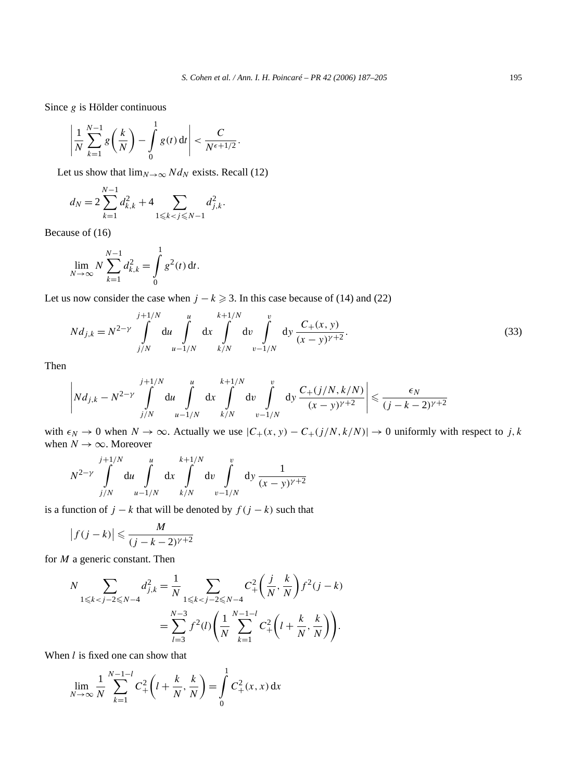Since *g* is Hölder continuous

$$
\left|\frac{1}{N}\sum_{k=1}^{N-1}g\left(\frac{k}{N}\right)-\int\limits_{0}^{1}g(t)\,\mathrm{d}t\right|<\frac{C}{N^{\epsilon+1/2}}.
$$

Let us show that  $\lim_{N\to\infty} N d_N$  exists. Recall (12)

$$
d_N = 2\sum_{k=1}^{N-1} d_{k,k}^2 + 4 \sum_{1 \leq k < j \leq N-1} d_{j,k}^2.
$$

Because of (16)

$$
\lim_{N \to \infty} N \sum_{k=1}^{N-1} d_{k,k}^2 = \int_0^1 g^2(t) dt.
$$

Let us now consider the case when  $j - k \ge 3$ . In this case because of (14) and (22)

$$
Nd_{j,k} = N^{2-\gamma} \int_{j/N}^{j+1/N} du \int_{u-1/N}^{u} dx \int_{k/N}^{k+1/N} dv \int_{v-1/N}^{v} dy \frac{C_{+}(x, y)}{(x - y)^{\gamma+2}}.
$$
 (33)

Then

$$
\left| N d_{j,k} - N^{2-\gamma} \int\limits_{j/N}^{j+1/N} du \int\limits_{u-1/N}^{u} dx \int\limits_{k/N}^{k+1/N} dv \int\limits_{v-1/N}^{v} dy \frac{C_+(j/N, k/N)}{(x-y)^{\gamma+2}} \right| \leq \frac{\epsilon_N}{(j-k-2)^{\gamma+2}}
$$

with  $\epsilon_N \to 0$  when  $N \to \infty$ . Actually we use  $|C_+(x, y) - C_+(j/N, k/N)| \to 0$  uniformly with respect to *j*, *k* when  $N \to \infty$ . Moreover

$$
N^{2-\gamma} \int\limits_{j/N}^{j+1/N} \mathrm{d}u \int\limits_{u-1/N}^{u} \mathrm{d}x \int\limits_{k/N}^{k+1/N} \mathrm{d}v \int\limits_{v-1/N}^{v} \mathrm{d}y \, \frac{1}{(x-y)^{\gamma+2}}
$$

is a function of  $j - k$  that will be denoted by  $f(j - k)$  such that

$$
\left|f(j-k)\right| \leqslant \frac{M}{(j-k-2)^{\gamma+2}}
$$

for *M* a generic constant. Then

$$
N \sum_{1 \le k < j-2 \le N-4} d_{j,k}^2 = \frac{1}{N} \sum_{1 \le k < j-2 \le N-4} C_+^2 \left( \frac{j}{N}, \frac{k}{N} \right) f^2(j-k)
$$
\n
$$
= \sum_{l=3}^{N-3} f^2(l) \left( \frac{1}{N} \sum_{k=1}^{N-1-l} C_+^2 \left( l + \frac{k}{N}, \frac{k}{N} \right) \right).
$$

1

When *l* is fixed one can show that

$$
\lim_{N \to \infty} \frac{1}{N} \sum_{k=1}^{N-1-l} C_+^2 \left( l + \frac{k}{N}, \frac{k}{N} \right) = \int_0^1 C_+^2(x, x) dx
$$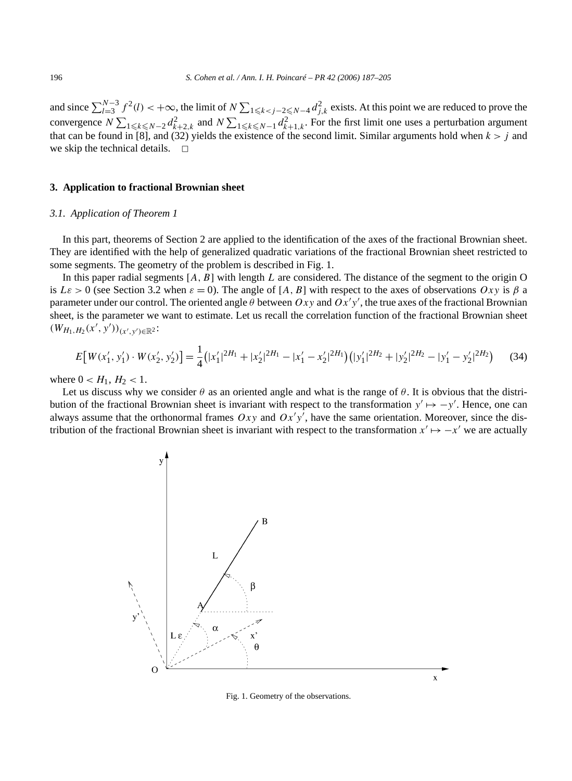and since  $\sum_{l=3}^{N-3} f^2(l) < +\infty$ , the limit of  $N \sum_{1 \le k < j-2 \le N-4} d_{j,k}^2$  exists. At this point we are reduced to prove the convergence  $N \sum_{1 \leq k \leq N-2} d_{k+2,k}^2$  and  $N \sum_{1 \leq k \leq N-1} d_{k+1,k}^2$ . For the first limit one uses a perturbation argument that can be found in [8], and (32) yields the existence of the second limit. Similar arguments hold when  $k > j$  and we skip the technical details.  $\square$ 

### **3. Application to fractional Brownian sheet**

#### *3.1. Application of Theorem 1*

In this part, theorems of Section 2 are applied to the identification of the axes of the fractional Brownian sheet. They are identified with the help of generalized quadratic variations of the fractional Brownian sheet restricted to some segments. The geometry of the problem is described in Fig. 1.

In this paper radial segments  $[A, B]$  with length *L* are considered. The distance of the segment to the origin O is  $L\varepsilon > 0$  (see Section 3.2 when  $\varepsilon = 0$ ). The angle of [*A, B*] with respect to the axes of observations  $Oxy$  is  $\beta$  a parameter under our control. The oriented angle  $\theta$  between  $Oxy$  and  $Ox'y'$ , the true axes of the fractional Brownian sheet, is the parameter we want to estimate. Let us recall the correlation function of the fractional Brownian sheet  $(W_{H_1,H_2}(x',y'))_{(x',y')\in\mathbb{R}^2}$ 

$$
E[W(x'_1, y'_1) \cdot W(x'_2, y'_2)] = \frac{1}{4} (|x'_1|^{2H_1} + |x'_2|^{2H_1} - |x'_1 - x'_2|^{2H_1}) (|y'_1|^{2H_2} + |y'_2|^{2H_2} - |y'_1 - y'_2|^{2H_2}) \tag{34}
$$

where  $0 < H_1, H_2 < 1$ .

Let us discuss why we consider  $\theta$  as an oriented angle and what is the range of  $\theta$ . It is obvious that the distribution of the fractional Brownian sheet is invariant with respect to the transformation  $y' \mapsto -y'$ . Hence, one can always assume that the orthonormal frames  $Oxy$  and  $Ox'y'$ , have the same orientation. Moreover, since the distribution of the fractional Brownian sheet is invariant with respect to the transformation  $x' \mapsto -x'$  we are actually



Fig. 1. Geometry of the observations.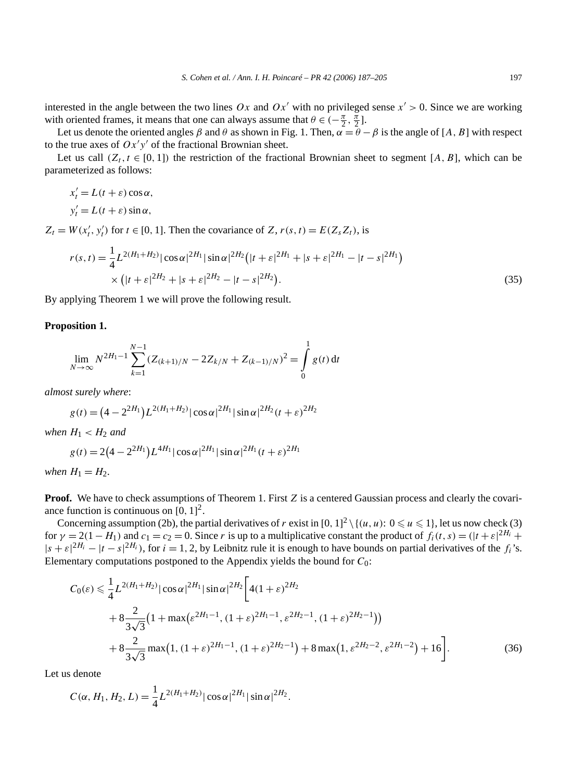interested in the angle between the two lines  $Ox$  and  $Ox'$  with no privileged sense  $x' > 0$ . Since we are working with oriented frames, it means that one can always assume that  $\theta \in (-\frac{\pi}{2}, \frac{\pi}{2}]$ .

Let us denote the oriented angles  $\beta$  and  $\theta$  as shown in Fig. 1. Then,  $\alpha = \theta - \beta$  is the angle of [A, B] with respect to the true axes of  $Ox'y'$  of the fractional Brownian sheet.

Let us call  $(Z_t, t \in [0, 1])$  the restriction of the fractional Brownian sheet to segment [*A, B*], which can be parameterized as follows:

 $x'_t = L(t + \varepsilon) \cos \alpha$ ,  $y'_t = L(t + \varepsilon) \sin \alpha$ ,

 $Z_t = W(x'_t, y'_t)$  for  $t \in [0, 1]$ . Then the covariance of *Z*,  $r(s, t) = E(Z_s Z_t)$ , is

$$
r(s,t) = \frac{1}{4}L^{2(H_1+H_2)}|\cos\alpha|^{2H_1}|\sin\alpha|^{2H_2}\left(|t+\varepsilon|^{2H_1}+|s+\varepsilon|^{2H_1}-|t-s|^{2H_1}\right) \times \left(|t+\varepsilon|^{2H_2}+|s+\varepsilon|^{2H_2}-|t-s|^{2H_2}\right).
$$
\n(35)

By applying Theorem 1 we will prove the following result.

#### **Proposition 1.**

$$
\lim_{N \to \infty} N^{2H_1 - 1} \sum_{k=1}^{N-1} (Z_{(k+1)/N} - 2Z_{k/N} + Z_{(k-1)/N})^2 = \int_0^1 g(t) dt
$$

*almost surely where*:

$$
g(t) = (4 - 2^{2H_1})L^{2(H_1 + H_2)} |\cos \alpha|^{2H_1} |\sin \alpha|^{2H_2} (t + \varepsilon)^{2H_2}
$$

*when*  $H_1 < H_2$  *and* 

$$
g(t) = 2(4 - 2^{2H_1})L^{4H_1} |\cos \alpha|^{2H_1} |\sin \alpha|^{2H_1} (t + \varepsilon)^{2H_1}
$$

*when*  $H_1 = H_2$ *.* 

**Proof.** We have to check assumptions of Theorem 1. First *Z* is a centered Gaussian process and clearly the covariance function is continuous on  $[0, 1]^2$ .

Concerning assumption (2b), the partial derivatives of *r* exist in  $[0, 1]^2 \setminus \{(u, u): 0 \leq u \leq 1\}$ , let us now check (3) for  $\gamma = 2(1 - H_1)$  and  $c_1 = c_2 = 0$ . Since *r* is up to a multiplicative constant the product of  $f_i(t, s) = (|t + \varepsilon|^{2H_i} +$  $|s + \varepsilon|^{2H_i} - |t - s|^{2H_i}$ , for  $i = 1, 2$ , by Leibnitz rule it is enough to have bounds on partial derivatives of the  $f_i$ 's. Elementary computations postponed to the Appendix yields the bound for *C*0:

$$
C_0(\varepsilon) \leq \frac{1}{4} L^{2(H_1 + H_2)} |\cos \alpha|^{2H_1} |\sin \alpha|^{2H_2} \Big[ 4(1 + \varepsilon)^{2H_2} + 8 \frac{2}{3\sqrt{3}} \big( 1 + \max(\varepsilon^{2H_1 - 1}, (1 + \varepsilon)^{2H_1 - 1}, \varepsilon^{2H_2 - 1}, (1 + \varepsilon)^{2H_2 - 1}) \big) + 8 \frac{2}{3\sqrt{3}} \max(1, (1 + \varepsilon)^{2H_1 - 1}, (1 + \varepsilon)^{2H_2 - 1}) + 8 \max(1, \varepsilon^{2H_2 - 2}, \varepsilon^{2H_1 - 2}) + 16 \Big].
$$
 (36)

Let us denote

$$
C(\alpha, H_1, H_2, L) = \frac{1}{4} L^{2(H_1 + H_2)} |\cos \alpha|^{2H_1} |\sin \alpha|^{2H_2}.
$$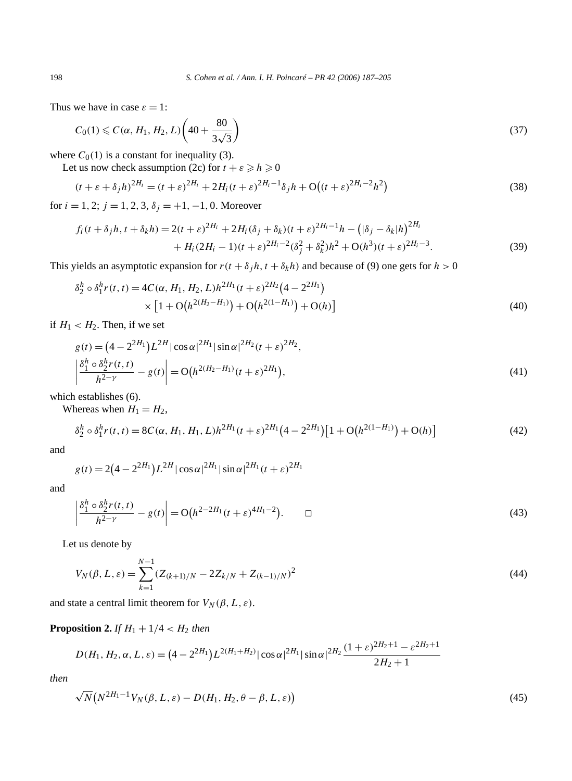Thus we have in case  $\varepsilon = 1$ :

$$
C_0(1) \le C(\alpha, H_1, H_2, L) \left(40 + \frac{80}{3\sqrt{3}}\right)
$$
\n(37)

where  $C_0(1)$  is a constant for inequality (3).

Let us now check assumption (2c) for  $t + \varepsilon \ge h \ge 0$ 

$$
(t + \varepsilon + \delta_j h)^{2H_i} = (t + \varepsilon)^{2H_i} + 2H_i(t + \varepsilon)^{2H_i - 1} \delta_j h + O((t + \varepsilon)^{2H_i - 2} h^2)
$$
\n(38)

for  $i = 1, 2$ ;  $j = 1, 2, 3, \delta_j = +1, -1, 0$ . Moreover

$$
f_i(t + \delta_j h, t + \delta_k h) = 2(t + \varepsilon)^{2H_i} + 2H_i(\delta_j + \delta_k)(t + \varepsilon)^{2H_i - 1}h - (|\delta_j - \delta_k|h)^{2H_i} + H_i(2H_i - 1)(t + \varepsilon)^{2H_i - 2}(\delta_j^2 + \delta_k^2)h^2 + O(h^3)(t + \varepsilon)^{2H_i - 3}.
$$
 (39)

This yields an asymptotic expansion for  $r(t + \delta_j h, t + \delta_k h)$  and because of (9) one gets for  $h > 0$ 

$$
\delta_2^h \circ \delta_1^h r(t, t) = 4C(\alpha, H_1, H_2, L)h^{2H_1}(t + \varepsilon)^{2H_2}(4 - 2^{2H_1})
$$
  
 
$$
\times \left[1 + O\big(h^{2(H_2 - H_1)}\big) + O\big(h^{2(1 - H_1)}\big) + O(h)\right]
$$
(40)

if  $H_1 < H_2$ . Then, if we set

$$
g(t) = (4 - 2^{2H_1})L^{2H} |\cos \alpha|^{2H_1} |\sin \alpha|^{2H_2} (t + \varepsilon)^{2H_2},
$$
  
\n
$$
\left| \frac{\delta_1^h \circ \delta_2^h r(t, t)}{h^{2-\gamma}} - g(t) \right| = O(h^{2(H_2 - H_1)}(t + \varepsilon)^{2H_1}),
$$
\n(41)

which establishes (6).

Whereas when  $H_1 = H_2$ ,

$$
\delta_2^h \circ \delta_1^h r(t, t) = 8C(\alpha, H_1, H_1, L)h^{2H_1}(t + \varepsilon)^{2H_1}\left(4 - 2^{2H_1}\right)\left[1 + \mathcal{O}\left(h^{2(1 - H_1)}\right) + \mathcal{O}(h)\right]
$$
(42)

and

$$
g(t) = 2(4 - 2^{2H_1})L^{2H} |\cos \alpha|^{2H_1} |\sin \alpha|^{2H_1} (t + \varepsilon)^{2H_1}
$$

and

$$
\left| \frac{\delta_1^h \circ \delta_2^h r(t, t)}{h^{2-\gamma}} - g(t) \right| = O\big(h^{2-2H_1}(t+\varepsilon)^{4H_1-2}\big). \qquad \Box \tag{43}
$$

Let us denote by

$$
V_N(\beta, L, \varepsilon) = \sum_{k=1}^{N-1} (Z_{(k+1)/N} - 2Z_{k/N} + Z_{(k-1)/N})^2
$$
\n(44)

and state a central limit theorem for  $V_N(\beta, L, \varepsilon)$ .

# **Proposition 2.** *If*  $H_1 + 1/4 < H_2$  *then*

$$
D(H_1, H_2, \alpha, L, \varepsilon) = (4 - 2^{2H_1})L^{2(H_1 + H_2)} |\cos \alpha|^{2H_1} |\sin \alpha|^{2H_2} \frac{(1 + \varepsilon)^{2H_2 + 1} - \varepsilon^{2H_2 + 1}}{2H_2 + 1}
$$

*then*

$$
\sqrt{N}\left(N^{2H_1-1}V_N(\beta,L,\varepsilon)-D(H_1,H_2,\theta-\beta,L,\varepsilon)\right)
$$
\n(45)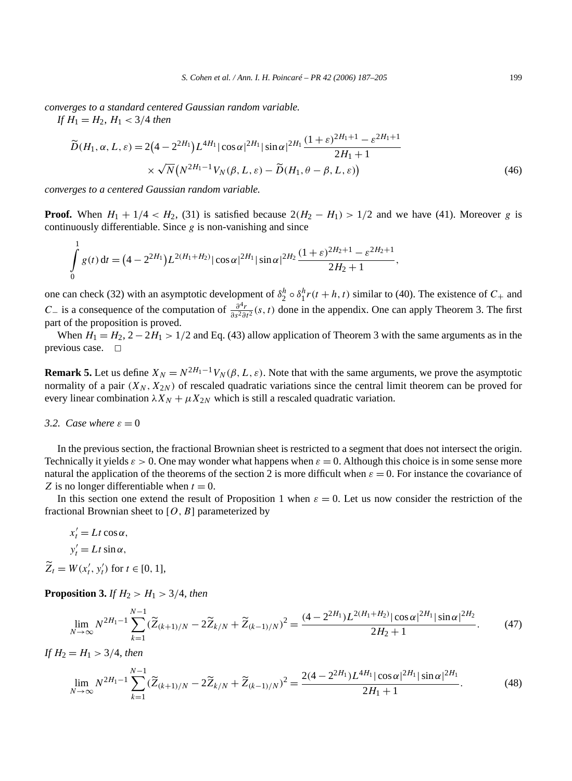*converges to a standard centered Gaussian random variable.*

*If*  $H_1 = H_2$ ,  $H_1 < 3/4$  *then* 

$$
\widetilde{D}(H_1, \alpha, L, \varepsilon) = 2(4 - 2^{2H_1})L^{4H_1} |\cos \alpha|^{2H_1} |\sin \alpha|^{2H_1} \frac{(1 + \varepsilon)^{2H_1 + 1} - \varepsilon^{2H_1 + 1}}{2H_1 + 1}
$$
  
 
$$
\times \sqrt{N} (N^{2H_1 - 1} V_N(\beta, L, \varepsilon) - \widetilde{D}(H_1, \theta - \beta, L, \varepsilon))
$$
(46)

*converges to a centered Gaussian random variable.*

**Proof.** When  $H_1 + 1/4 < H_2$ , (31) is satisfied because  $2(H_2 - H_1) > 1/2$  and we have (41). Moreover *g* is continuously differentiable. Since *g* is non-vanishing and since

$$
\int_{0}^{1} g(t) dt = (4 - 2^{2H_1}) L^{2(H_1 + H_2)} |\cos \alpha|^{2H_1} |\sin \alpha|^{2H_2} \frac{(1 + \varepsilon)^{2H_2 + 1} - \varepsilon^{2H_2 + 1}}{2H_2 + 1},
$$

one can check (32) with an asymptotic development of  $\delta_2^h \circ \delta_1^h r(t+h, t)$  similar to (40). The existence of  $C_+$  and *C* – is a consequence of the computation of  $\frac{\partial^4 r}{\partial s^2 \partial t^2}$  (s, t) done in the appendix. One can apply Theorem 3. The first part of the proposition is proved.

When  $H_1 = H_2$ ,  $2 - 2H_1 > 1/2$  and Eq. (43) allow application of Theorem 3 with the same arguments as in the previous case.  $\square$ 

**Remark 5.** Let us define  $X_N = N^{2H_1-1}V_N(\beta, L, \varepsilon)$ . Note that with the same arguments, we prove the asymptotic normality of a pair  $(X_N, X_{2N})$  of rescaled quadratic variations since the central limit theorem can be proved for every linear combination  $\lambda X_N + \mu X_{2N}$  which is still a rescaled quadratic variation.

# *3.2. Case where*  $\varepsilon = 0$

In the previous section, the fractional Brownian sheet is restricted to a segment that does not intersect the origin. Technically it yields  $\varepsilon > 0$ . One may wonder what happens when  $\varepsilon = 0$ . Although this choice is in some sense more natural the application of the theorems of the section 2 is more difficult when  $\varepsilon = 0$ . For instance the covariance of *Z* is no longer differentiable when  $t = 0$ .

In this section one extend the result of Proposition 1 when  $\varepsilon = 0$ . Let us now consider the restriction of the fractional Brownian sheet to  $[O, B]$  parameterized by

$$
x'_t = Lt \cos \alpha,
$$
  

$$
y'_t = Lt \sin \alpha,
$$

 $\widetilde{Z}_t = W(x'_t, y'_t)$  for  $t \in [0, 1]$ ,

**Proposition 3.** *If*  $H_2 > H_1 > 3/4$ , *then* 

$$
\lim_{N \to \infty} N^{2H_1 - 1} \sum_{k=1}^{N-1} (\widetilde{Z}_{(k+1)/N} - 2\widetilde{Z}_{k/N} + \widetilde{Z}_{(k-1)/N})^2 = \frac{(4 - 2^{2H_1})L^{2(H_1 + H_2)} |\cos \alpha|^{2H_1} |\sin \alpha|^{2H_2}}{2H_2 + 1}.
$$
 (47)

*If*  $H_2 = H_1 > 3/4$ *, then* 

$$
\lim_{N \to \infty} N^{2H_1 - 1} \sum_{k=1}^{N-1} (\widetilde{Z}_{(k+1)/N} - 2\widetilde{Z}_{k/N} + \widetilde{Z}_{(k-1)/N})^2 = \frac{2(4 - 2^{2H_1})L^{4H_1} |\cos \alpha|^{2H_1} |\sin \alpha|^{2H_1}}{2H_1 + 1}.
$$
\n(48)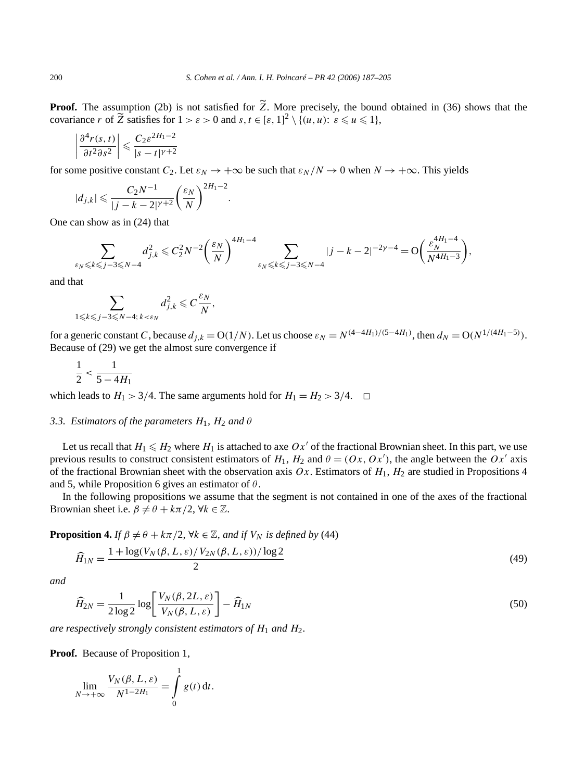**Proof.** The assumption (2b) is not satisfied for *Z*. More precisely, the bound obtained in (36) shows that the covariance *r* of  $\widetilde{Z}$  satisfies for  $1 > \varepsilon > 0$  and  $s, t \in [\varepsilon, 1]^2 \setminus \{(u, u): \varepsilon \leq u \leq 1\},\$ 

$$
\left|\frac{\partial^4 r(s,t)}{\partial t^2 \partial s^2}\right| \leqslant \frac{C_2 \varepsilon^{2H_1 - 2}}{|s - t|^{\gamma + 2}}
$$

for some positive constant  $C_2$ . Let  $\varepsilon_N \to +\infty$  be such that  $\varepsilon_N/N \to 0$  when  $N \to +\infty$ . This yields

$$
|d_{j,k}| \leqslant \frac{C_2N^{-1}}{|j-k-2|^{\gamma+2}} \bigg(\frac{\varepsilon_N}{N}\bigg)^{2H_1-2}.
$$

One can show as in (24) that

$$
\sum_{\varepsilon_N \leqslant k \leqslant j-3 \leqslant N-4} d_{j,k}^2 \leqslant C_2^2 N^{-2} \bigg( \frac{\varepsilon_N}{N} \bigg)^{4H_1 - 4} \sum_{\varepsilon_N \leqslant k \leqslant j-3 \leqslant N-4} |j-k-2|^{-2\gamma - 4} = {\rm O} \bigg( \frac{\varepsilon_N^{4H_1 - 4}}{N^{4H_1 - 3}} \bigg),
$$

and that

$$
\sum_{1 \leq k \leq j-3 \leq N-4; k < \varepsilon_N} d_{j,k}^2 \leq C \frac{\varepsilon_N}{N},
$$

for a generic constant C, because  $d_{j,k} = O(1/N)$ . Let us choose  $\varepsilon_N = N^{(4-4H_1)/(5-4H_1)}$ , then  $d_N = O(N^{1/(4H_1-5)})$ . Because of (29) we get the almost sure convergence if

$$
\frac{1}{2} < \frac{1}{5 - 4H_1}
$$

which leads to  $H_1 > 3/4$ . The same arguments hold for  $H_1 = H_2 > 3/4$ .  $\Box$ 

#### *3.3. Estimators of the parameters*  $H_1$ ,  $H_2$  *and*  $\theta$

Let us recall that  $H_1 \leq H_2$  where  $H_1$  is attached to axe  $Ox'$  of the fractional Brownian sheet. In this part, we use previous results to construct consistent estimators of  $H_1$ ,  $H_2$  and  $\theta = (Ox, Ox')$ , the angle between the  $Ox'$  axis of the fractional Brownian sheet with the observation axis  $Ox$ . Estimators of  $H_1$ ,  $H_2$  are studied in Propositions 4 and 5, while Proposition 6 gives an estimator of *θ* .

In the following propositions we assume that the segment is not contained in one of the axes of the fractional Brownian sheet i.e.  $\beta \neq \theta + k\pi/2$ ,  $\forall k \in \mathbb{Z}$ .

**Proposition 4.** *If*  $\beta \neq \theta + k\pi/2$ ,  $\forall k \in \mathbb{Z}$ , and *if*  $V_N$  *is defined by* (44)

$$
\widehat{H}_{1N} = \frac{1 + \log(V_N(\beta, L, \varepsilon)/V_{2N}(\beta, L, \varepsilon))/\log 2}{2}
$$
\n(49)

*and*

$$
\widehat{H}_{2N} = \frac{1}{2\log 2} \log \left[ \frac{V_N(\beta, 2L, \varepsilon)}{V_N(\beta, L, \varepsilon)} \right] - \widehat{H}_{1N}
$$
\n(50)

*are respectively strongly consistent estimators of H*<sup>1</sup> *and H*2*.*

**Proof.** Because of Proposition 1,

$$
\lim_{N \to +\infty} \frac{V_N(\beta, L, \varepsilon)}{N^{1-2H_1}} = \int\limits_0^1 g(t) \, \mathrm{d}t.
$$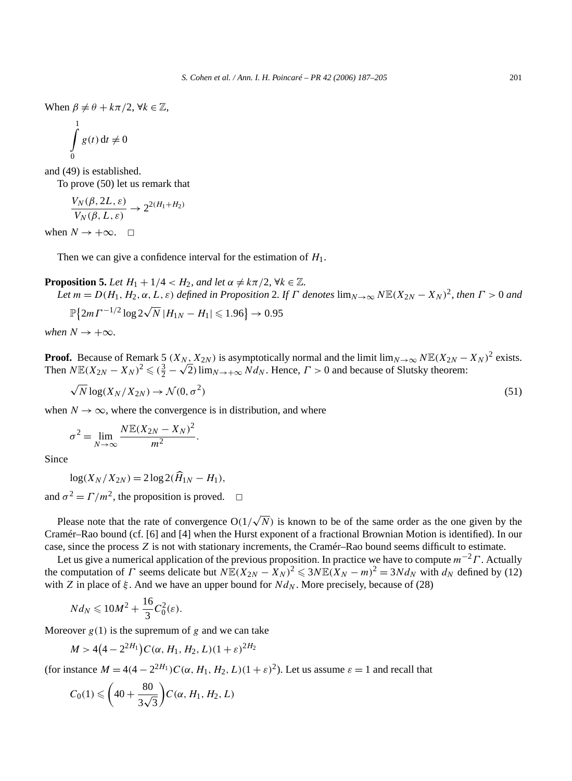When  $\beta \neq \theta + k\pi/2$ ,  $\forall k \in \mathbb{Z}$ ,

$$
\int\limits_{0}^{1} g(t) dt \neq
$$

and (49) is established.

To prove (50) let us remark that

 $\theta$ 

$$
\frac{V_N(\beta, 2L, \varepsilon)}{V_N(\beta, L, \varepsilon)} \to 2^{2(H_1 + H_2)}
$$

when  $N \to +\infty$ .  $\Box$ 

Then we can give a confidence interval for the estimation of *H*1.

**Proposition 5.** *Let*  $H_1 + 1/4 < H_2$ *, and let*  $\alpha \neq k\pi/2$ ,  $\forall k \in \mathbb{Z}$ *.* Let  $m = D(H_1, H_2, \alpha, L, \varepsilon)$  defined in Proposition 2. If  $\Gamma$  denotes  $\lim_{N \to \infty} N \mathbb{E}(X_{2N} - X_N)^2$ , then  $\Gamma > 0$  and

$$
\mathbb{P}\{2m\Gamma^{-1/2}\log 2\sqrt{N}|H_{1N} - H_1| \leq 1.96\} \to 0.95
$$

*when*  $N \rightarrow +\infty$ *.* 

**Proof.** Because of Remark 5  $(X_N, X_{2N})$  is asymptotically normal and the limit lim<sub>*N*→∞</sub>  $NE(X_{2N} - X_N)^2$  exists. **Proot.** Because of Remark 5 ( $X_N$ ,  $X_{2N}$ ) is asymptotically normal and the limit  $\lim_{N \to \infty} N \mathbb{E}(X_{2N} - \text{Then } N \mathbb{E}(X_{2N} - X_N)^2 \leq (\frac{3}{2} - \sqrt{2}) \lim_{N \to \infty} N d_N$ . Hence,  $\Gamma > 0$  and because of Slutsky theorem:

$$
\sqrt{N} \log(X_N/X_{2N}) \to \mathcal{N}(0, \sigma^2)
$$
\n(51)

when  $N \to \infty$ , where the convergence is in distribution, and where

$$
\sigma^2 = \lim_{N \to \infty} \frac{N \mathbb{E}(X_{2N} - X_N)^2}{m^2}.
$$

Since

$$
\log(X_N/X_{2N}) = 2\log 2(\hat{H}_{1N} - H_1),
$$

and  $\sigma^2 = \Gamma/m^2$ , the proposition is proved.  $\Box$ 

Please note that the rate of convergence  $O(1/\sqrt{N})$  is known to be of the same order as the one given by the Cramér–Rao bound (cf. [6] and [4] when the Hurst exponent of a fractional Brownian Motion is identified). In our case, since the process *Z* is not with stationary increments, the Cramér–Rao bound seems difficult to estimate.

Let us give a numerical application of the previous proposition. In practice we have to compute *m*−2*Γ* . Actually the computation of *Γ* seems delicate but  $N\mathbb{E}(X_{2N} - X_N)^2 \le 3N\mathbb{E}(X_N - m)^2 = 3Nd_N$  with  $d_N$  defined by (12) with *Z* in place of  $\xi$ . And we have an upper bound for  $Nd_N$ . More precisely, because of (28)

$$
Nd_N\leq 10M^2+\frac{16}{3}C_0^2(\varepsilon).
$$

Moreover  $g(1)$  is the supremum of  $g$  and we can take

$$
M > 4(4-2^{2H_1})C(\alpha, H_1, H_2, L)(1+\varepsilon)^{2H_2}
$$

(for instance  $M = 4(4 - 2^{2H_1})C(\alpha, H_1, H_2, L)(1 + \varepsilon)^2$ ). Let us assume  $\varepsilon = 1$  and recall that

$$
C_0(1) \leqslant \left(40 + \frac{80}{3\sqrt{3}}\right) C(\alpha, H_1, H_2, L)
$$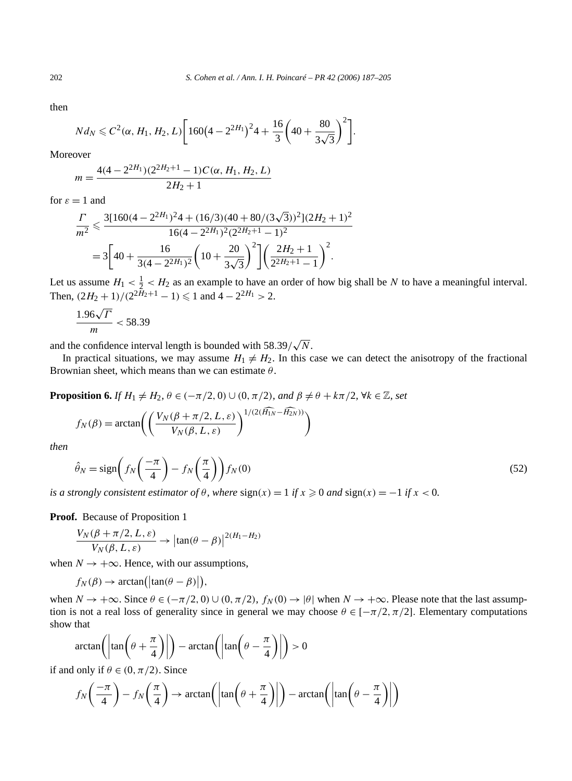then

$$
Nd_N \leq C^2(\alpha, H_1, H_2, L)\bigg[160\big(4-2^{2H_1}\big)^24+\frac{16}{3}\bigg(40+\frac{80}{3\sqrt{3}}\bigg)^2\bigg].
$$

Moreover

$$
m = \frac{4(4 - 2^{2H_1})(2^{2H_2 + 1} - 1)C(\alpha, H_1, H_2, L)}{2H_2 + 1}
$$

for  $\varepsilon = 1$  and

$$
\frac{\Gamma}{m^2} \leq \frac{3[160(4-2^{2H_1})^2 4 + (16/3)(40+80/(3\sqrt{3}))^2](2H_2+1)^2}{16(4-2^{2H_1})^2(2^{2H_2+1}-1)^2}
$$
  
= 
$$
3\left[40+\frac{16}{3(4-2^{2H_1})^2}\left(10+\frac{20}{3\sqrt{3}}\right)^2\right]\left(\frac{2H_2+1}{2^{2H_2+1}-1}\right)^2.
$$

Let us assume  $H_1 < \frac{1}{2} < H_2$  as an example to have an order of how big shall be *N* to have a meaningful interval. Then,  $\left(\frac{2H_2 + 1}{2^{2H_2+1} - 1}\right) \leq 1$  and  $4 - 2^{2H_1} > 2$ .

$$
\frac{1.96\sqrt{\Gamma}}{m} < 58.39
$$

and the confidence interval length is bounded with  $58.39/\sqrt{N}$ .

In practical situations, we may assume  $H_1 \neq H_2$ . In this case we can detect the anisotropy of the fractional Brownian sheet, which means than we can estimate *θ* .

**Proposition 6.** *If*  $H_1 \neq H_2$ ,  $\theta \in (-\pi/2, 0) \cup (0, \pi/2)$ , and  $\beta \neq \theta + k\pi/2$ ,  $\forall k \in \mathbb{Z}$ , set

$$
f_N(\beta) = \arctan\left(\left(\frac{V_N(\beta + \pi/2, L, \varepsilon)}{V_N(\beta, L, \varepsilon)}\right)^{1/(2(\widehat{H_{1N}} - \widehat{H_{2N}}))}\right)
$$

*then*

$$
\hat{\theta}_N = \text{sign}\left(f_N\left(\frac{-\pi}{4}\right) - f_N\left(\frac{\pi}{4}\right)\right) f_N(0) \tag{52}
$$

*is a strongly consistent estimator of*  $\theta$ *, where*  $sign(x) = 1$  *<i>if*  $x \ge 0$  *and*  $sign(x) = -1$  *if*  $x < 0$ *.* 

**Proof.** Because of Proposition 1

$$
\frac{V_N(\beta + \pi/2, L, \varepsilon)}{V_N(\beta, L, \varepsilon)} \to \left| \tan(\theta - \beta) \right|^{2(H_1 - H_2)}
$$

when  $N \rightarrow +\infty$ . Hence, with our assumptions,

$$
f_N(\beta) \to \arctan(|\tan(\theta - \beta)|),
$$

when  $N \to +\infty$ . Since  $\theta \in (-\pi/2, 0) \cup (0, \pi/2)$ ,  $f_N(0) \to |\theta|$  when  $N \to +\infty$ . Please note that the last assumption is not a real loss of generality since in general we may choose  $\theta \in [-\pi/2, \pi/2]$ . Elementary computations show that

$$
\arctan\left(\left|\tan\left(\theta + \frac{\pi}{4}\right)\right|\right) - \arctan\left(\left|\tan\left(\theta - \frac{\pi}{4}\right)\right|\right) > 0
$$

if and only if  $\theta \in (0, \pi/2)$ . Since

$$
f_N\left(\frac{-\pi}{4}\right) - f_N\left(\frac{\pi}{4}\right) \to \arctan\left(\left|\tan\left(\theta + \frac{\pi}{4}\right)\right|\right) - \arctan\left(\left|\tan\left(\theta - \frac{\pi}{4}\right)\right|\right)
$$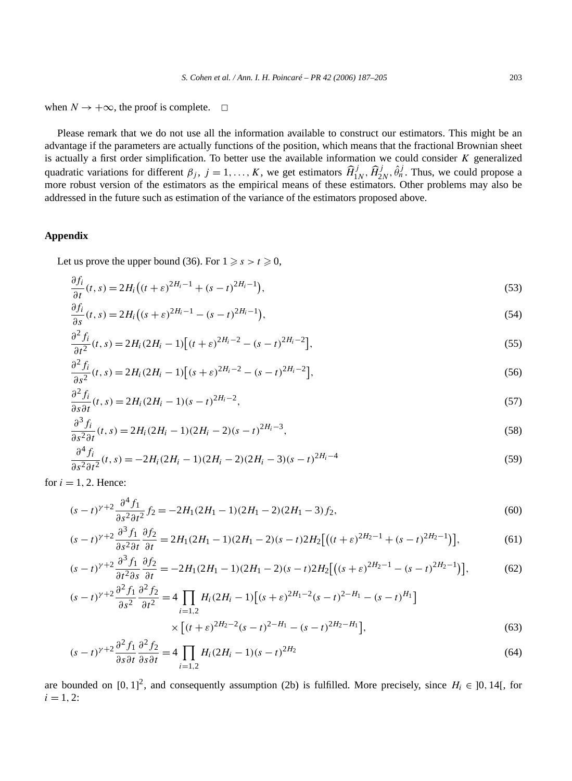when  $N \to +\infty$ , the proof is complete.  $\Box$ 

Please remark that we do not use all the information available to construct our estimators. This might be an advantage if the parameters are actually functions of the position, which means that the fractional Brownian sheet is actually a first order simplification. To better use the available information we could consider *K* generalized quadratic variations for different  $\beta_j$ ,  $j = 1, ..., K$ , we get estimators  $\widehat{H}_{1N}^j$ ,  $\widehat{H}_{2N}^j$ ,  $\widehat{\theta}_n^j$ . Thus, we could propose a more robust version of the estimators as the empirical means of these estimators. Other problems may also be addressed in the future such as estimation of the variance of the estimators proposed above.

#### **Appendix**

Let us prove the upper bound (36). For  $1 \ge s > t \ge 0$ ,

$$
\frac{\partial f_i}{\partial t}(t,s) = 2H_i\big((t+\varepsilon)^{2H_i-1} + (s-t)^{2H_i-1}\big),\tag{53}
$$

$$
\frac{\partial f_i}{\partial s}(t,s) = 2H_i\big((s+\varepsilon)^{2H_i-1} - (s-t)^{2H_i-1}\big),\tag{54}
$$

$$
\frac{\partial^2 f_i}{\partial t^2}(t,s) = 2H_i(2H_i - 1)[(t+\varepsilon)^{2H_i - 2} - (s-t)^{2H_i - 2}],
$$
\n(55)

$$
\frac{\partial^2 f_i}{\partial s^2}(t,s) = 2H_i(2H_i - 1)[(s+\varepsilon)^{2H_i-2} - (s-t)^{2H_i-2}],
$$
\n(56)

$$
\frac{\partial^2 f_i}{\partial s \partial t}(t,s) = 2H_i(2H_i - 1)(s-t)^{2H_i - 2},\tag{57}
$$

$$
\frac{\partial^3 f_i}{\partial s^2 \partial t}(t,s) = 2H_i(2H_i - 1)(2H_i - 2)(s - t)^{2H_i - 3},\tag{58}
$$

$$
\frac{\partial^4 f_i}{\partial s^2 \partial t^2}(t,s) = -2H_i(2H_i - 1)(2H_i - 2)(2H_i - 3)(s - t)^{2H_i - 4}
$$
\n(59)

for  $i = 1, 2$ . Hence:

$$
(s-t)^{\gamma+2} \frac{\partial^4 f_1}{\partial s^2 \partial t^2} f_2 = -2H_1(2H_1 - 1)(2H_1 - 2)(2H_1 - 3)f_2,\tag{60}
$$

$$
(s-t)^{\gamma+2} \frac{\partial^3 f_1}{\partial s^2 \partial t} \frac{\partial f_2}{\partial t} = 2H_1(2H_1 - 1)(2H_1 - 2)(s-t)2H_2 \big[ \big( (t+\varepsilon)^{2H_2-1} + (s-t)^{2H_2-1} \big) \big],\tag{61}
$$

$$
(s-t)^{\gamma+2} \frac{\partial^3 f_1}{\partial t^2 \partial s} \frac{\partial f_2}{\partial t} = -2H_1(2H_1 - 1)(2H_1 - 2)(s-t)2H_2 \big[ \big( (s+\varepsilon)^{2H_2-1} - (s-t)^{2H_2-1} \big) \big],\tag{62}
$$

$$
(s-t)^{\gamma+2} \frac{\partial^2 f_1}{\partial s^2} \frac{\partial^2 f_2}{\partial t^2} = 4 \prod_{i=1,2} H_i (2H_i - 1) \left[ (s+\varepsilon)^{2H_1-2} (s-t)^{2-H_1} - (s-t)^{H_1} \right]
$$
  
 
$$
\times \left[ (t+\varepsilon)^{2H_2-2} (s-t)^{2-H_1} - (s-t)^{2H_2-H_1} \right],
$$
 (63)

$$
(s-t)^{\gamma+2} \frac{\partial^2 f_1}{\partial s \partial t} \frac{\partial^2 f_2}{\partial s \partial t} = 4 \prod_{i=1,2} H_i (2H_i - 1)(s-t)^{2H_2}
$$
(64)

are bounded on  $[0, 1]^2$ , and consequently assumption (2b) is fulfilled. More precisely, since  $H_i \in ]0, 14[$ , for  $i = 1, 2$ :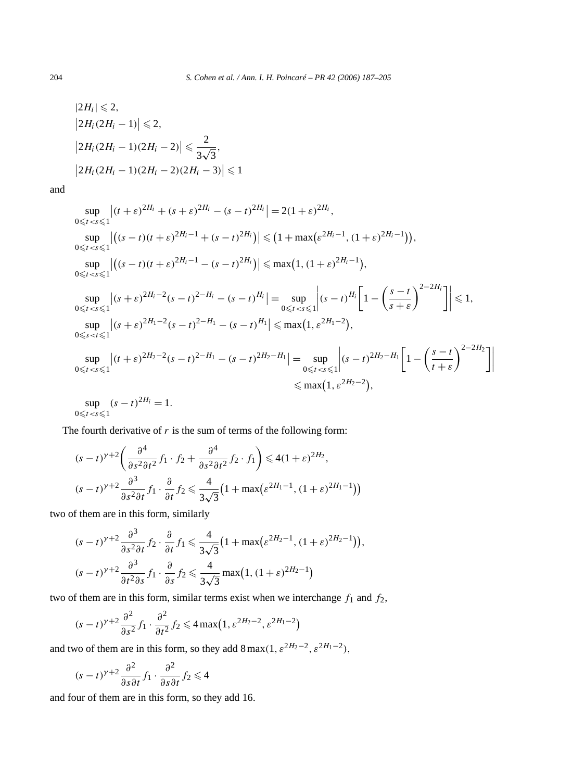$$
|2H_i| \le 2,
$$
  
\n
$$
|2H_i(2H_i - 1)| \le 2,
$$
  
\n
$$
|2H_i(2H_i - 1)(2H_i - 2)| \le \frac{2}{3\sqrt{3}},
$$
  
\n
$$
|2H_i(2H_i - 1)(2H_i - 2)(2H_i - 3)| \le 1
$$

and

$$
\sup_{0 \leq t < s \leq 1} |(t + \varepsilon)^{2H_i} + (s + \varepsilon)^{2H_i} - (s - t)^{2H_i}| = 2(1 + \varepsilon)^{2H_i},
$$
\n
$$
\sup_{0 \leq t < s \leq 1} |((s - t)(t + \varepsilon)^{2H_i - 1} + (s - t)^{2H_i})| \leq (1 + \max(\varepsilon^{2H_i - 1}, (1 + \varepsilon)^{2H_i - 1})),
$$
\n
$$
\sup_{0 \leq t < s \leq 1} |((s - t)(t + \varepsilon)^{2H_i - 1} - (s - t)^{2H_i})| \leq \max(1, (1 + \varepsilon)^{2H_i - 1}),
$$
\n
$$
\sup_{0 \leq t < s \leq 1} |(s + \varepsilon)^{2H_i - 2}(s - t)^{2 - H_i} - (s - t)^{H_i}| = \sup_{0 \leq t < s \leq 1} |(s - t)^{H_i}| \left[1 - \left(\frac{s - t}{s + \varepsilon}\right)^{2 - 2H_i}\right] \leq 1,
$$
\n
$$
\sup_{0 \leq s < t \leq 1} |(s + \varepsilon)^{2H_1 - 2}(s - t)^{2 - H_1} - (s - t)^{H_1}| \leq \max(1, \varepsilon^{2H_1 - 2}),
$$
\n
$$
\sup_{0 \leq t < s \leq 1} |(t + \varepsilon)^{2H_2 - 2}(s - t)^{2 - H_1} - (s - t)^{2H_2 - H_1}| = \sup_{0 \leq t < s \leq 1} |(s - t)^{2H_2 - H_1}| \left[1 - \left(\frac{s - t}{t + \varepsilon}\right)^{2 - 2H_2}\right]
$$
\n
$$
\leq \max(1, \varepsilon^{2H_2 - 2}),
$$
\n
$$
\sup_{0 \leq t < t \leq 1} |(s - t)^{2H_1} = 1.
$$

0 $≤t < s ≤1$ 

The fourth derivative of  $r$  is the sum of terms of the following form:

$$
(s-t)^{\gamma+2} \left( \frac{\partial^4}{\partial s^2 \partial t^2} f_1 \cdot f_2 + \frac{\partial^4}{\partial s^2 \partial t^2} f_2 \cdot f_1 \right) \le 4(1+\varepsilon)^{2H_2},
$$
  

$$
(s-t)^{\gamma+2} \frac{\partial^3}{\partial s^2 \partial t} f_1 \cdot \frac{\partial}{\partial t} f_2 \le \frac{4}{3\sqrt{3}} \left(1 + \max(\varepsilon^{2H_1-1}, (1+\varepsilon)^{2H_1-1})\right)
$$

two of them are in this form, similarly

$$
(s-t)^{\gamma+2} \frac{\partial^3}{\partial s^2 \partial t} f_2 \cdot \frac{\partial}{\partial t} f_1 \leq \frac{4}{3\sqrt{3}} \left(1 + \max\left(\varepsilon^{2H_2 - 1}, (1+\varepsilon)^{2H_2 - 1}\right)\right),
$$
  

$$
(s-t)^{\gamma+2} \frac{\partial^3}{\partial t^2 \partial s} f_1 \cdot \frac{\partial}{\partial s} f_2 \leq \frac{4}{3\sqrt{3}} \max\left(1, (1+\varepsilon)^{2H_2 - 1}\right)
$$

two of them are in this form, similar terms exist when we interchange *f*<sup>1</sup> and *f*2,

$$
(s-t)^{\gamma+2} \frac{\partial^2}{\partial s^2} f_1 \cdot \frac{\partial^2}{\partial t^2} f_2 \leq 4 \max\left(1, \varepsilon^{2H_2-2}, \varepsilon^{2H_1-2}\right)
$$

and two of them are in this form, so they add  $8 \max(1, \varepsilon^{2H_2 - 2}, \varepsilon^{2H_1 - 2})$ ,

$$
(s-t)^{\gamma+2} \frac{\partial^2}{\partial s \partial t} f_1 \cdot \frac{\partial^2}{\partial s \partial t} f_2 \leq 4
$$

and four of them are in this form, so they add 16.